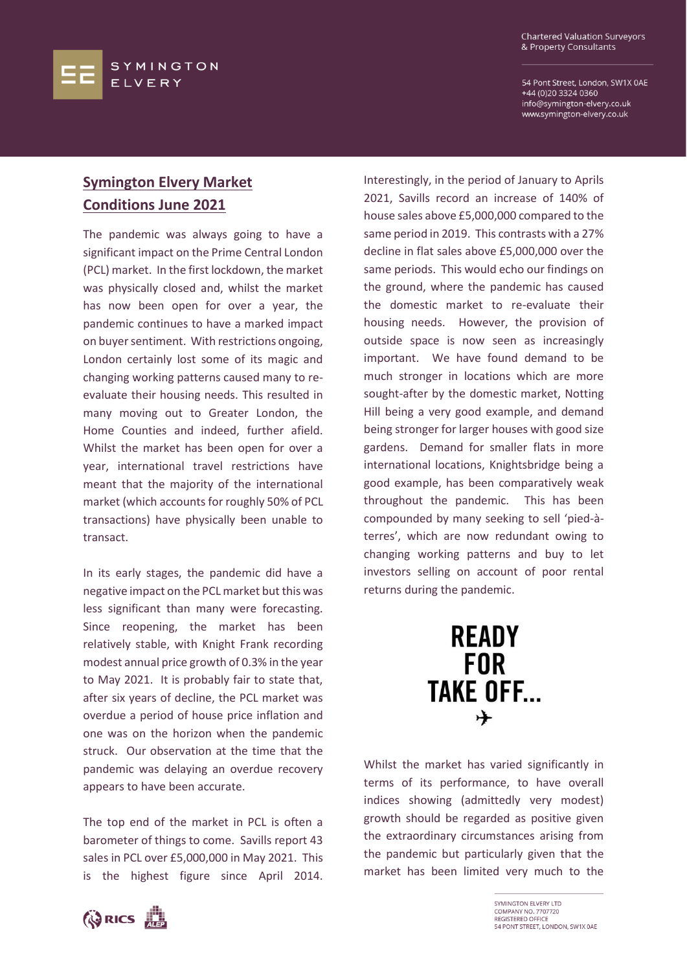54 Pont Street, London, SW1X 0AE +44 (0)20 3324 0360 info@symington-elvery.co.uk www.symington-elvery.co.uk

## **Symington Elvery Market Conditions June 2021**

The pandemic was always going to have a significant impact on the Prime Central London (PCL) market. In the first lockdown, the market was physically closed and, whilst the market has now been open for over a year, the pandemic continues to have a marked impact on buyer sentiment. With restrictions ongoing, London certainly lost some of its magic and changing working patterns caused many to reevaluate their housing needs. This resulted in many moving out to Greater London, the Home Counties and indeed, further afield. Whilst the market has been open for over a year, international travel restrictions have meant that the majority of the international market (which accounts for roughly 50% of PCL transactions) have physically been unable to transact.

In its early stages, the pandemic did have a negative impact on the PCL market but this was less significant than many were forecasting. Since reopening, the market has been relatively stable, with Knight Frank recording modest annual price growth of 0.3% in the year to May 2021. It is probably fair to state that, after six years of decline, the PCL market was overdue a period of house price inflation and one was on the horizon when the pandemic struck. Our observation at the time that the pandemic was delaying an overdue recovery appears to have been accurate.

The top end of the market in PCL is often a barometer of things to come. Savills report 43 sales in PCL over £5,000,000 in May 2021. This is the highest figure since April 2014. Interestingly, in the period of January to Aprils 2021, Savills record an increase of 140% of house sales above £5,000,000 compared to the same period in 2019. This contrasts with a 27% decline in flat sales above £5,000,000 over the same periods. This would echo our findings on the ground, where the pandemic has caused the domestic market to re-evaluate their housing needs. However, the provision of outside space is now seen as increasingly important. We have found demand to be much stronger in locations which are more sought-after by the domestic market, Notting Hill being a very good example, and demand being stronger for larger houses with good size gardens. Demand for smaller flats in more international locations, Knightsbridge being a good example, has been comparatively weak throughout the pandemic. This has been compounded by many seeking to sell 'pied-àterres', which are now redundant owing to changing working patterns and buy to let investors selling on account of poor rental returns during the pandemic.



Whilst the market has varied significantly in terms of its performance, to have overall indices showing (admittedly very modest) growth should be regarded as positive given the extraordinary circumstances arising from the pandemic but particularly given that the market has been limited very much to the